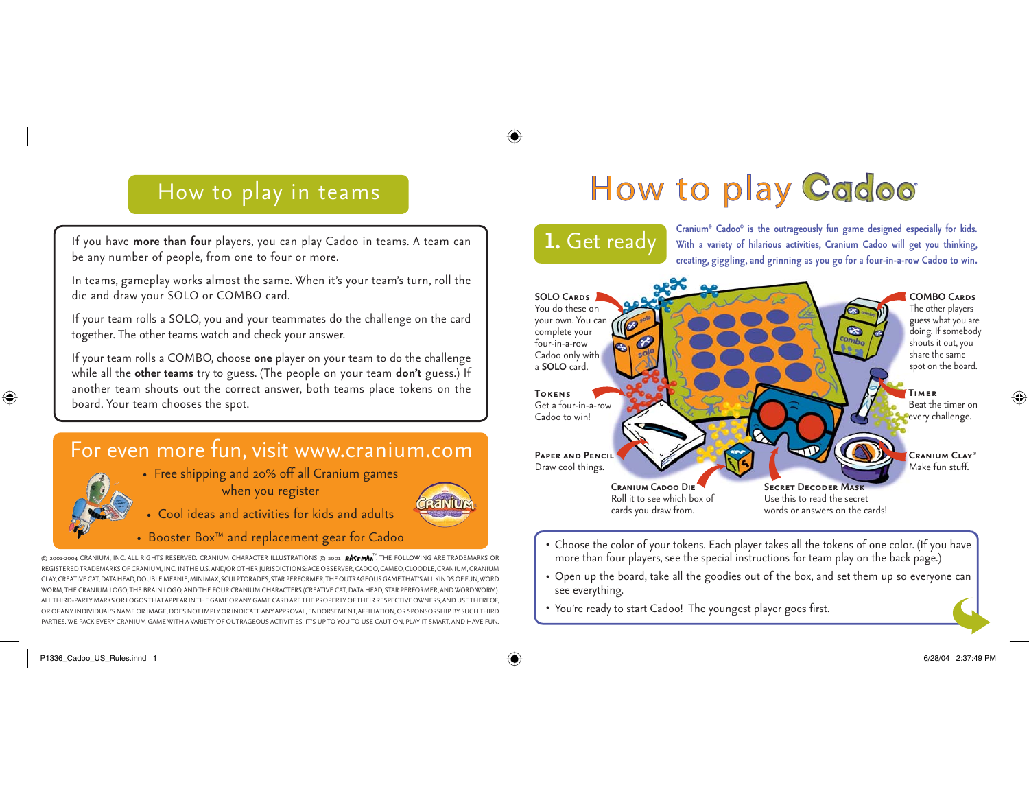# How to play in teams

# How to play Cadoo

If you have **more than four** players, you can play Cadoo in teams. A team can be any number of people, from one to four or more.

In teams, gameplay works almost the same. When it's your team's turn, roll the die and draw your SOLO or COMBO card.

If your team rolls a SOLO, you and your teammates do the challenge on the card together. The other teams watch and check your answer.

If your team rolls a COMBO, choose **one** player on your team to do the challenge while all the **other teams** try to guess. (The people on your team **don't** guess.) If another team shouts out the correct answer, both teams place tokens on the board. Your team chooses the spot.

# For even more fun, visit www.cranium.com

• Free shipping and 20% off all Cranium games when you register



- Cool ideas and activities for kids and adults
- Booster Box™ and replacement gear for Cadoo

 $\circledcirc$  2001-2004 CRANIUM, INC. ALL RIGHTS RESERVED. CRANIUM CHARACTER ILLUSTRATIONS  $\circledcirc$  2001  $\mathit{B}\mathsf{ASEMAN}^{\mathsf{int}}$ . The following are trademarks or REGISTERED TRADEMARKS OF CRANIUM, INC. IN THE U.S. AND/OR OTHER JURISDICTIONS: ACE OBSERVER, CADOO, CAMEO, CLOODLE, CRANIUM, CRANIUM CLAY, CREATIVE CAT, DATA HEAD, DOUBLE MEANIE, MINIMAX, SCULPTORADES, STAR PERFORMER, THE OUTRAGEOUS GAME THAT'S ALL KINDS OF FU LOGO, THE BRAIN LOGO, AND THE FOUR CRANIUM CHARACTERS (CREATIVE CAT, DATA HEAD, LOGOS THAT APPEAR IN THE GAME OR ANY GAME CARD ARE THE PROPERTY OR OF ANY INDIVIDUAL'S NAME OR IMAGE, DOES NOT IMPLY OR INDICATE ANY APPROVAL, ENDORSEMENT, AFFILIATION, OR SPONSORSHIP BY SUCH THIRD PACK EVERY CRANIUM GAME WITH A VARIETY OF OUTRAGEOUS ACTIVITIES. IT'S UP TO YOU TO USE CAUTION,

**1.** Get ready Cranium® Cadoo® is the outrageously fun game designed especially for kids.<br>**1.** Get ready With a variety of hilarious activities, Cranium Cadoo will get you thinking, **creating, giggling, and grinning as you go for a four-in-a-row Cadoo to win.**

#### **SOLO Cards**You do these on your own. You can  $\frac{1}{2}$ complete your four-in-a-row Cadoo only with a **SOLO** card.**Tokens**Get a four-in-a-row Cadoo to win! **Paper and Pencil**Draw cool things. **Cranium Cadoo DieSecret Decoder Mask**Use this to read the secretRoll it to see which box of cards you draw from.

The other players guess what you are doing. If somebody shouts it out, you share the same spot on the board.

**COMBO Cards**

**Timer**Beat the timer on every challenge.

**Cranium Clay**® Make fun stuff.

words or answers on the cards!

- Choose the color of your tokens. Each player takes all the tokens of one color. (If you have more than four players, see the special instructions for team play on the back page.)
- Open up the board, take all the goodies out of the box, and set them up so everyone can see everything.
- You're ready to start Cadoo! The youngest player goes first. •